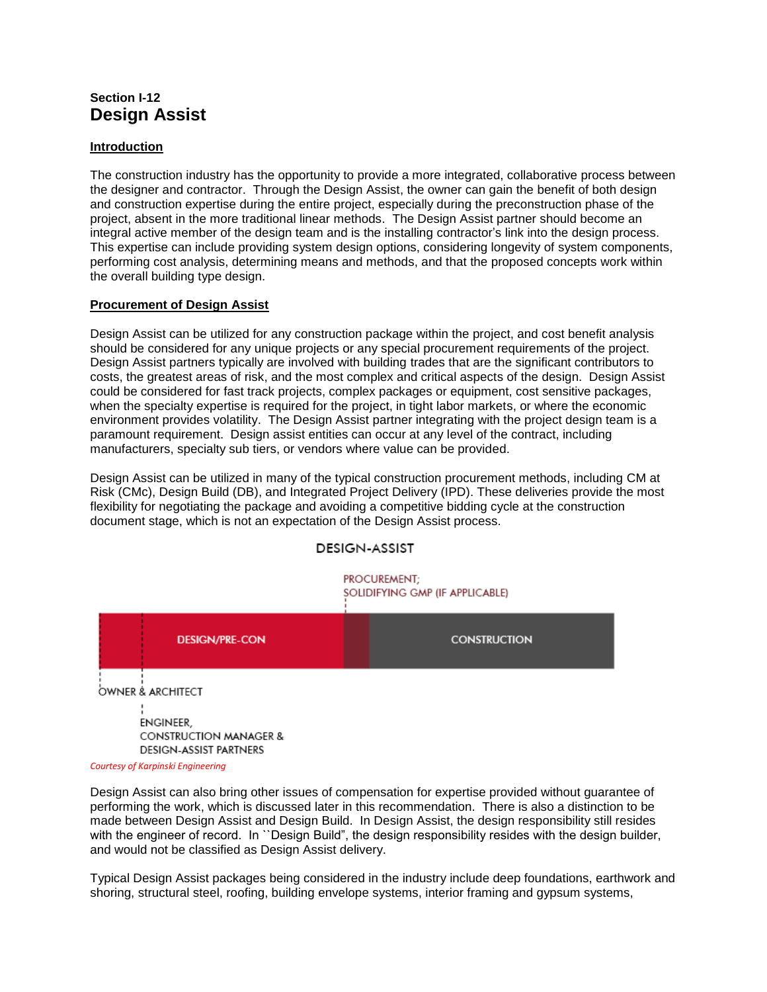# **Section I-12 Design Assist**

## **Introduction**

The construction industry has the opportunity to provide a more integrated, collaborative process between the designer and contractor. Through the Design Assist, the owner can gain the benefit of both design and construction expertise during the entire project, especially during the preconstruction phase of the project, absent in the more traditional linear methods. The Design Assist partner should become an integral active member of the design team and is the installing contractor's link into the design process. This expertise can include providing system design options, considering longevity of system components, performing cost analysis, determining means and methods, and that the proposed concepts work within the overall building type design.

### **Procurement of Design Assist**

Design Assist can be utilized for any construction package within the project, and cost benefit analysis should be considered for any unique projects or any special procurement requirements of the project. Design Assist partners typically are involved with building trades that are the significant contributors to costs, the greatest areas of risk, and the most complex and critical aspects of the design. Design Assist could be considered for fast track projects, complex packages or equipment, cost sensitive packages, when the specialty expertise is required for the project, in tight labor markets, or where the economic environment provides volatility. The Design Assist partner integrating with the project design team is a paramount requirement. Design assist entities can occur at any level of the contract, including manufacturers, specialty sub tiers, or vendors where value can be provided.

Design Assist can be utilized in many of the typical construction procurement methods, including CM at Risk (CMc), Design Build (DB), and Integrated Project Delivery (IPD). These deliveries provide the most flexibility for negotiating the package and avoiding a competitive bidding cycle at the construction document stage, which is not an expectation of the Design Assist process.

## **DESIGN-ASSIST**

PROCUREMENT; SOLIDIFYING GMP (IF APPLICABLE)



*Courtesy of Karpinski Engineering*

Design Assist can also bring other issues of compensation for expertise provided without guarantee of performing the work, which is discussed later in this recommendation. There is also a distinction to be made between Design Assist and Design Build. In Design Assist, the design responsibility still resides with the engineer of record. In "Design Build", the design responsibility resides with the design builder, and would not be classified as Design Assist delivery.

Typical Design Assist packages being considered in the industry include deep foundations, earthwork and shoring, structural steel, roofing, building envelope systems, interior framing and gypsum systems,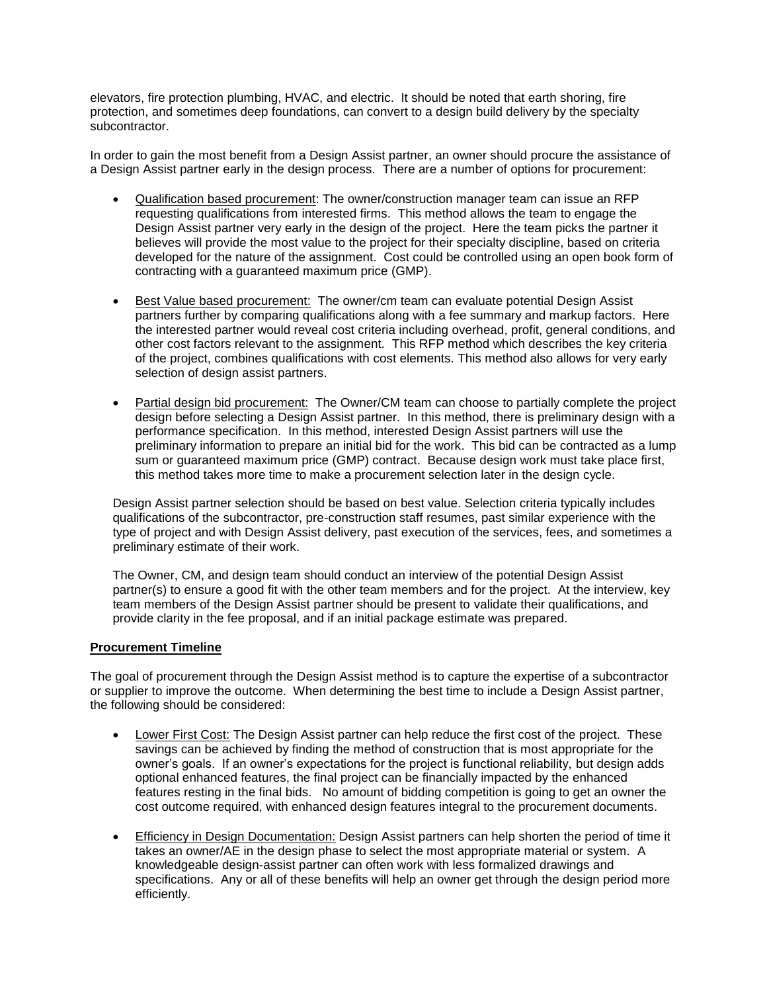elevators, fire protection plumbing, HVAC, and electric. It should be noted that earth shoring, fire protection, and sometimes deep foundations, can convert to a design build delivery by the specialty subcontractor.

In order to gain the most benefit from a Design Assist partner, an owner should procure the assistance of a Design Assist partner early in the design process. There are a number of options for procurement:

- Qualification based procurement: The owner/construction manager team can issue an RFP requesting qualifications from interested firms. This method allows the team to engage the Design Assist partner very early in the design of the project. Here the team picks the partner it believes will provide the most value to the project for their specialty discipline, based on criteria developed for the nature of the assignment. Cost could be controlled using an open book form of contracting with a guaranteed maximum price (GMP).
- Best Value based procurement: The owner/cm team can evaluate potential Design Assist partners further by comparing qualifications along with a fee summary and markup factors. Here the interested partner would reveal cost criteria including overhead, profit, general conditions, and other cost factors relevant to the assignment. This RFP method which describes the key criteria of the project, combines qualifications with cost elements. This method also allows for very early selection of design assist partners.
- Partial design bid procurement: The Owner/CM team can choose to partially complete the project design before selecting a Design Assist partner. In this method, there is preliminary design with a performance specification. In this method, interested Design Assist partners will use the preliminary information to prepare an initial bid for the work. This bid can be contracted as a lump sum or guaranteed maximum price (GMP) contract. Because design work must take place first, this method takes more time to make a procurement selection later in the design cycle.

Design Assist partner selection should be based on best value. Selection criteria typically includes qualifications of the subcontractor, pre-construction staff resumes, past similar experience with the type of project and with Design Assist delivery, past execution of the services, fees, and sometimes a preliminary estimate of their work.

The Owner, CM, and design team should conduct an interview of the potential Design Assist partner(s) to ensure a good fit with the other team members and for the project. At the interview, key team members of the Design Assist partner should be present to validate their qualifications, and provide clarity in the fee proposal, and if an initial package estimate was prepared.

#### **Procurement Timeline**

The goal of procurement through the Design Assist method is to capture the expertise of a subcontractor or supplier to improve the outcome. When determining the best time to include a Design Assist partner, the following should be considered:

- Lower First Cost: The Design Assist partner can help reduce the first cost of the project. These savings can be achieved by finding the method of construction that is most appropriate for the owner's goals. If an owner's expectations for the project is functional reliability, but design adds optional enhanced features, the final project can be financially impacted by the enhanced features resting in the final bids. No amount of bidding competition is going to get an owner the cost outcome required, with enhanced design features integral to the procurement documents.
- Efficiency in Design Documentation: Design Assist partners can help shorten the period of time it takes an owner/AE in the design phase to select the most appropriate material or system. A knowledgeable design-assist partner can often work with less formalized drawings and specifications. Any or all of these benefits will help an owner get through the design period more efficiently.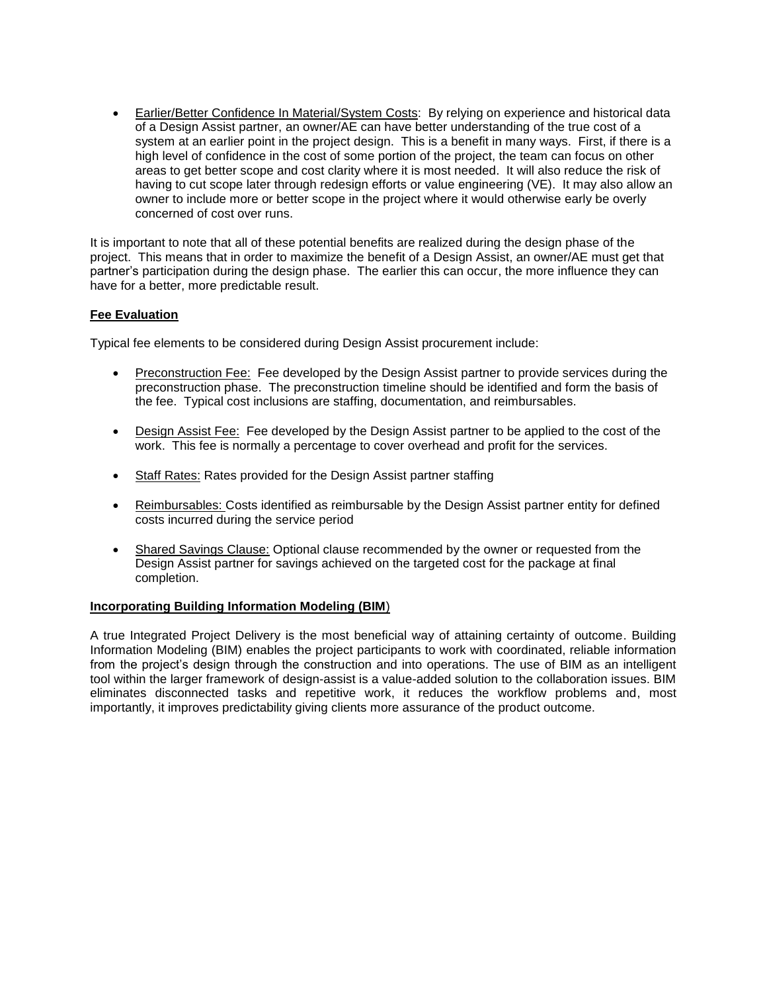• Earlier/Better Confidence In Material/System Costs: By relying on experience and historical data of a Design Assist partner, an owner/AE can have better understanding of the true cost of a system at an earlier point in the project design. This is a benefit in many ways. First, if there is a high level of confidence in the cost of some portion of the project, the team can focus on other areas to get better scope and cost clarity where it is most needed. It will also reduce the risk of having to cut scope later through redesign efforts or value engineering (VE). It may also allow an owner to include more or better scope in the project where it would otherwise early be overly concerned of cost over runs.

It is important to note that all of these potential benefits are realized during the design phase of the project. This means that in order to maximize the benefit of a Design Assist, an owner/AE must get that partner's participation during the design phase. The earlier this can occur, the more influence they can have for a better, more predictable result.

## **Fee Evaluation**

Typical fee elements to be considered during Design Assist procurement include:

- Preconstruction Fee: Fee developed by the Design Assist partner to provide services during the preconstruction phase. The preconstruction timeline should be identified and form the basis of the fee. Typical cost inclusions are staffing, documentation, and reimbursables.
- Design Assist Fee: Fee developed by the Design Assist partner to be applied to the cost of the work. This fee is normally a percentage to cover overhead and profit for the services.
- Staff Rates: Rates provided for the Design Assist partner staffing
- Reimbursables: Costs identified as reimbursable by the Design Assist partner entity for defined costs incurred during the service period
- Shared Savings Clause: Optional clause recommended by the owner or requested from the Design Assist partner for savings achieved on the targeted cost for the package at final completion.

#### **Incorporating Building Information Modeling (BIM**)

A true Integrated Project Delivery is the most beneficial way of attaining certainty of outcome. Building Information Modeling (BIM) enables the project participants to work with coordinated, reliable information from the project's design through the construction and into operations. The use of BIM as an intelligent tool within the larger framework of design-assist is a value-added solution to the collaboration issues. BIM eliminates disconnected tasks and repetitive work, it reduces the workflow problems and, most importantly, it improves predictability giving clients more assurance of the product outcome.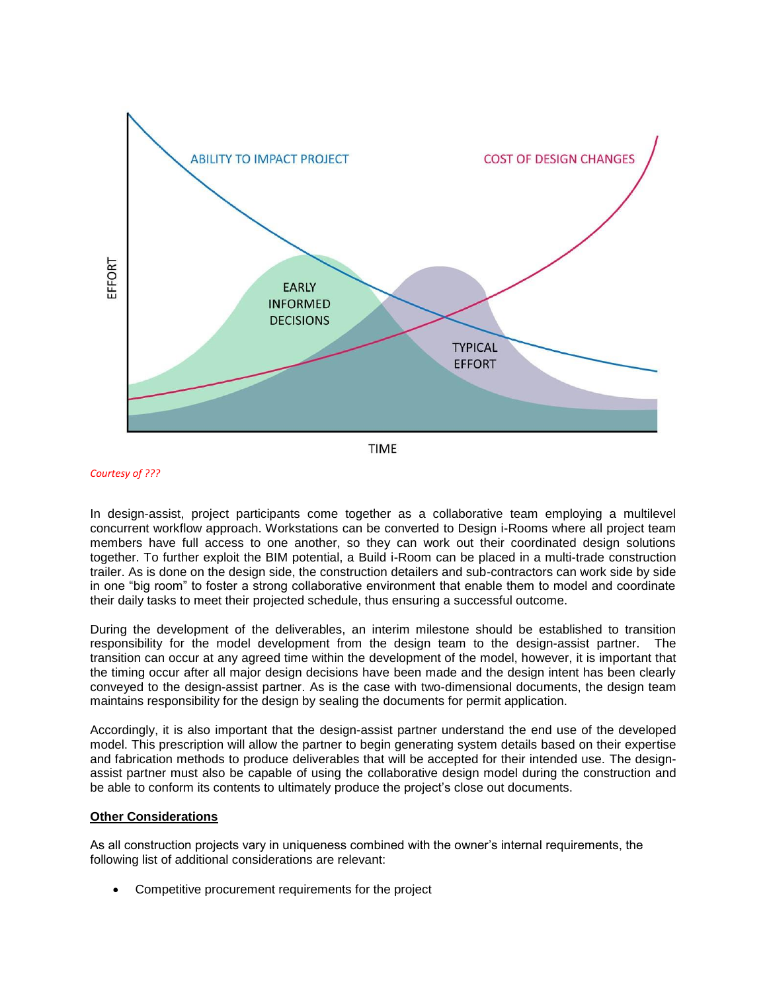

*Courtesy of ???*

In design-assist, project participants come together as a collaborative team employing a multilevel concurrent workflow approach. Workstations can be converted to Design i-Rooms where all project team members have full access to one another, so they can work out their coordinated design solutions together. To further exploit the BIM potential, a Build i-Room can be placed in a multi-trade construction trailer. As is done on the design side, the construction detailers and sub-contractors can work side by side in one "big room" to foster a strong collaborative environment that enable them to model and coordinate their daily tasks to meet their projected schedule, thus ensuring a successful outcome.

During the development of the deliverables, an interim milestone should be established to transition responsibility for the model development from the design team to the design-assist partner. The transition can occur at any agreed time within the development of the model, however, it is important that the timing occur after all major design decisions have been made and the design intent has been clearly conveyed to the design-assist partner. As is the case with two-dimensional documents, the design team maintains responsibility for the design by sealing the documents for permit application.

Accordingly, it is also important that the design-assist partner understand the end use of the developed model. This prescription will allow the partner to begin generating system details based on their expertise and fabrication methods to produce deliverables that will be accepted for their intended use. The designassist partner must also be capable of using the collaborative design model during the construction and be able to conform its contents to ultimately produce the project's close out documents.

#### **Other Considerations**

As all construction projects vary in uniqueness combined with the owner's internal requirements, the following list of additional considerations are relevant:

• Competitive procurement requirements for the project